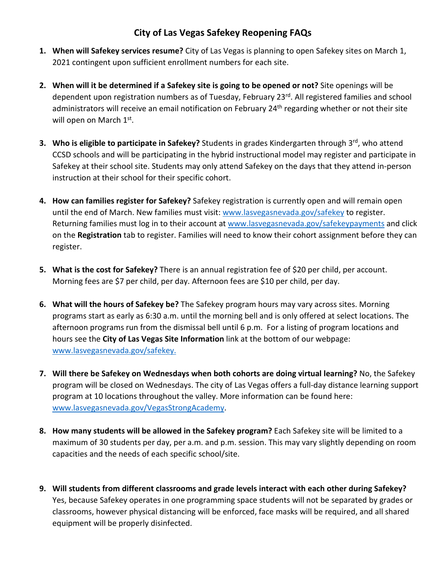## **City of Las Vegas Safekey Reopening FAQs**

- **1. When will Safekey services resume?** City of Las Vegas is planning to open Safekey sites on March 1, 2021 contingent upon sufficient enrollment numbers for each site.
- **2. When will it be determined if a Safekey site is going to be opened or not?** Site openings will be dependent upon registration numbers as of Tuesday, February 23rd. All registered families and school administrators will receive an email notification on February 24<sup>th</sup> regarding whether or not their site will open on March 1<sup>st</sup>.
- **3. Who is eligible to participate in Safekey?** Students in grades Kindergarten through 3<sup>rd</sup>, who attend CCSD schools and will be participating in the hybrid instructional model may register and participate in Safekey at their school site. Students may only attend Safekey on the days that they attend in-person instruction at their school for their specific cohort.
- **4. How can families register for Safekey?** Safekey registration is currently open and will remain open until the end of March. New families must visit[: www.lasvegasnevada.gov/safekey](http://www.lasvegasnevada.gov/safekey) to register. Returning families must log in to their account at [www.lasvegasnevada.gov/safekeypayments](http://www.lasvegasnevada.gov/safekeypayments) and click on the **Registration** tab to register. Families will need to know their cohort assignment before they can register.
- **5. What is the cost for Safekey?** There is an annual registration fee of \$20 per child, per account. Morning fees are \$7 per child, per day. Afternoon fees are \$10 per child, per day.
- **6. What will the hours of Safekey be?** The Safekey program hours may vary across sites. Morning programs start as early as 6:30 a.m. until the morning bell and is only offered at select locations. The afternoon programs run from the dismissal bell until 6 p.m. For a listing of program locations and hours see the **City of Las Vegas Site Information** link at the bottom of our webpage: [www.lasvegasnevada.gov/safekey.](http://www.lasvegasnevada.gov/safekey)
- **7. Will there be Safekey on Wednesdays when both cohorts are doing virtual learning?** No, the Safekey program will be closed on Wednesdays. The city of Las Vegas offers a full-day distance learning support program at 10 locations throughout the valley. More information can be found here: [www.lasvegasnevada.gov/VegasStrongAcademy.](http://www.lasvegasnevada.gov/VegasStrongAcademy)
- **8. How many students will be allowed in the Safekey program?** Each Safekey site will be limited to a maximum of 30 students per day, per a.m. and p.m. session. This may vary slightly depending on room capacities and the needs of each specific school/site.
- **9. Will students from different classrooms and grade levels interact with each other during Safekey?**  Yes, because Safekey operates in one programming space students will not be separated by grades or classrooms, however physical distancing will be enforced, face masks will be required, and all shared equipment will be properly disinfected.